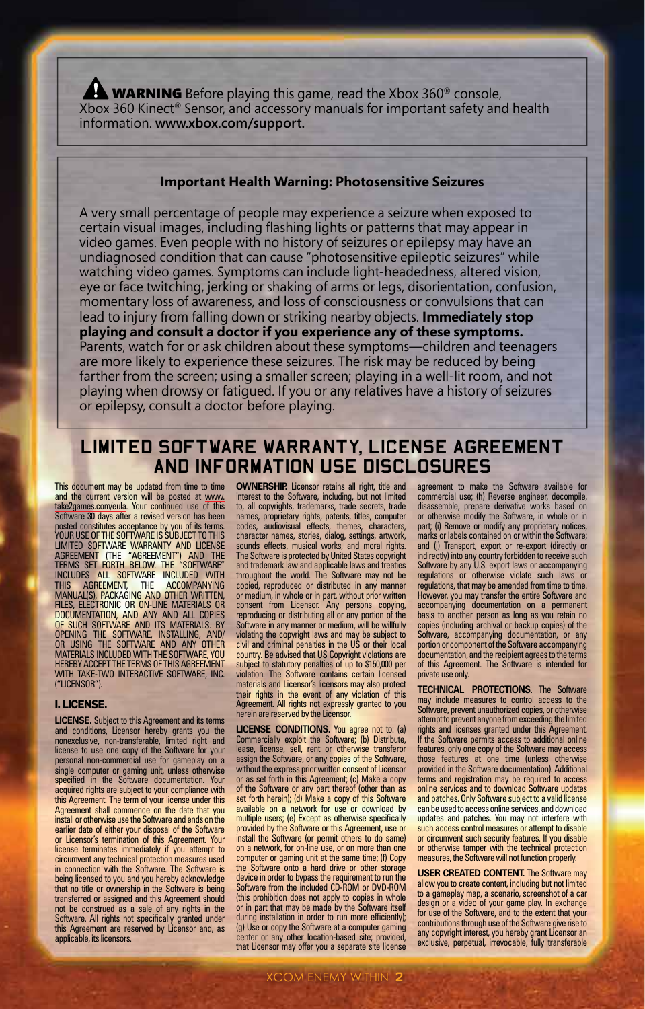WARNING Before playing this game, read the Xbox 360<sup>®</sup> console, Xbox 360 Kinect® Sensor, and accessory manuals for important safety and health information. **www.xbox.com/support.**

#### **Important Health Warning: Photosensitive Seizures**

A very small percentage of people may experience a seizure when exposed to certain visual images, including flashing lights or patterns that may appear in video games. Even people with no history of seizures or epilepsy may have an undiagnosed condition that can cause "photosensitive epileptic seizures" while watching video games. Symptoms can include light-headedness, altered vision, eye or face twitching, jerking or shaking of arms or legs, disorientation, confusion, momentary loss of awareness, and loss of consciousness or convulsions that can lead to injury from falling down or striking nearby objects. **Immediately stop playing and consult a doctor if you experience any of these symptoms.** Parents, watch for or ask children about these symptoms—children and teenagers are more likely to experience these seizures. The risk may be reduced by being farther from the screen; using a smaller screen; playing in a well-lit room, and not playing when drowsy or fatigued. If you or any relatives have a history of seizures or epilepsy, consult a doctor before playing.

### **LIMITED SOFTWARE WARRANTY, LICENSE AGREEMENT AND INFORMATION USE DISCLOSURES**

This document may be updated from time to time and the current version will be posted at www. take2games.com/eula. Your continued use of this<br>Software 30 days after a revised version has been Software 30 days after a revised version has been posted constitutes acceptance by you of its terms. YOUR USE OF THE SOFTWARE IS SUBJECT TO THIS LIMITED SOFTWARE WARRANTY AND LICENSE AGREEMENT (THE "AGREEMENT") AND THE TERMS SET FORTH BELOW. THE "SOFTWARE" INCLUDES ALL SOFTWARE INCLUDED WITH THIS AGREEMENT, THE ACCOMPANYING MANUAL(S), PACKAGING AND OTHER WRITTEN. FILES, ELECTRONIC OR ON-LINE MATERIALS OR DOCUMENTATION, AND ANY AND ALL COPIES OF SUCH SOFTWARE AND ITS MATERIALS. BY OPENING THE SOFTWARE, INSTALLING, AND/ OR USING THE SOFTWARE AND ANY OTHER MATERIALS INCLUDED WITH THE SOFTWARE, YOU HEREBY ACCEPT THE TERMS OF THIS AGREEMENT WITH TAKE-TWO INTERACTIVE SOFTWARE, INC. ("LICENSOR").

#### **I. LICENSE.**

**LICENSE.** Subject to this Agreement and its terms and conditions, Licensor hereby grants you the nonexclusive, non-transferable, limited right and license to use one copy of the Software for your personal non-commercial use for gameplay on a single computer or gaming unit, unless otherwise specified in the Software documentation. Your acquired rights are subject to your compliance with this Agreement. The term of your license under this Agreement shall commence on the date that you install or otherwise use the Software and ends on the earlier date of either your disposal of the Software or Licensor's termination of this Agreement. Your license terminates immediately if you attempt to circumvent any technical protection measures used in connection with the Software. The Software is being licensed to you and you hereby acknowledge that no title or ownership in the Software is being transferred or assigned and this Agreement should not be construed as a sale of any rights in the Software. All rights not specifically granted under this Agreement are reserved by Licensor and, as applicable, its licensors.

**OWNERSHIP.** Licensor retains all right, title and interest to the Software, including, but not limited to, all copyrights, trademarks, trade secrets, trade names, proprietary rights, patents, titles, computer<br>codes, audiovisual effects, themes, characters, codes, audiovisual effects, themes, characters, character names, stories, dialog, settings, artwork, sounds effects, musical works, and moral rights. The Software is protected by United States copyright and trademark law and applicable laws and treaties throughout the world. The Software may not be copied, reproduced or distributed in any manner or medium, in whole or in part, without prior written consent from Licensor. Any persons copying, reproducing or distributing all or any portion of the Software in any manner or medium, will be willfully violating the copyright laws and may be subject to civil and criminal penalties in the US or their local country. Be advised that US Copyright violations are subject to statutory penalties of up to \$150,000 per violation. The Software contains certain licensed materials and Licensor's licensors may also protect their rights in the event of any violation of this Agreement. All rights not expressly granted to you herein are reserved by the Licensor.

**LICENSE CONDITIONS.** You agree not to: (a) Commercially exploit the Software; (b) Distribute, lease, license, sell, rent or otherwise transferor assign the Software, or any copies of the Software, without the express prior written consent of Licensor or as set forth in this Agreement; (c) Make a copy of the Software or any part thereof (other than as set forth herein); (d) Make a copy of this Software available on a network for use or download by multiple users; (e) Except as otherwise specifically provided by the Software or this Agreement, use or install the Software (or permit others to do same) on a network, for on-line use, or on more than one computer or gaming unit at the same time; (f) Copy the Software onto a hard drive or other storage device in order to bypass the requirement to run the Software from the included CD-ROM or DVD-ROM (this prohibition does not apply to copies in whole or in part that may be made by the Software itself during installation in order to run more efficiently); (g) Use or copy the Software at a computer gaming center or any other location-based site; provided, that Licensor may offer you a separate site license

agreement to make the Software available for commercial use; (h) Reverse engineer, decompile, disassemble, prepare derivative works based on or otherwise modify the Software, in whole or in part; (i) Remove or modify any proprietary notices, part, w riembre or moany any proprietary nonces,<br>marks or labels contained on or within the Software; and (j) Transport, export or re-export (directly or indirectly) into any country forbidden to receive such Software by any U.S. export laws or accompanying regulations or otherwise violate such laws or regulations, that may be amended from time to time. However, you may transfer the entire Software and accompanying documentation on a permanent basis to another person as long as you retain no copies (including archival or backup copies) of the Software, accompanying documentation, or any portion or component of the Software accompanying documentation, and the recipient agrees to the terms of this Agreement. The Software is intended for private use only.

**TECHNICAL PROTECTIONS.** The Software may include measures to control access to the Software, prevent unauthorized copies, or otherwise attempt to prevent anyone from exceeding the limited rights and licenses granted under this Agreement. If the Software permits access to additional online features, only one copy of the Software may access those features at one time (unless otherwise provided in the Software documentation). Additional terms and registration may be required to access online services and to download Software updates and patches. Only Software subject to a valid license can be used to access online services, and download updates and patches. You may not interfere with such access control measures or attempt to disable or circumvent such security features. If you disable or otherwise tamper with the technical protection measures, the Software will not function properly.

**USER CREATED CONTENT.** The Software may allow you to create content, including but not limited to a gameplay map, a scenario, screenshot of a car design or a video of your game play. In exchange for use of the Software, and to the extent that your contributions through use of the Software give rise to any copyright interest, you hereby grant Licensor an exclusive, perpetual, irrevocable, fully transferable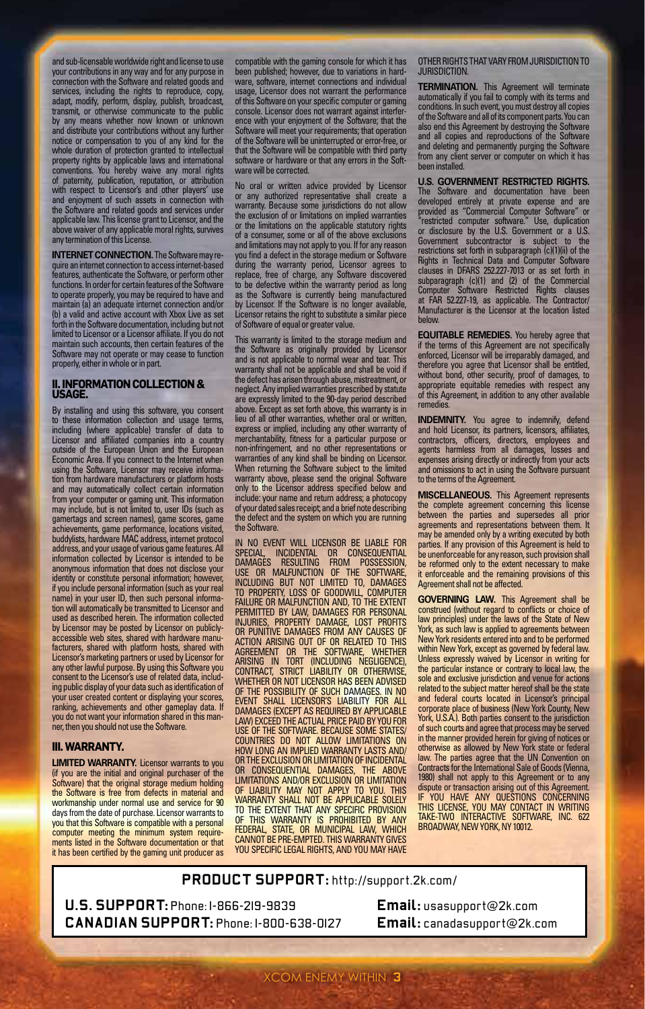and sub-licensable worldwide right and license to use your contributions in any way and for any purpose in connection with the Software and related goods and services, including the rights to reproduce, copy, adapt, modify, perform, display, publish, broadcast, transmit, or otherwise communicate to the public by any means whether now known or unknown and distribute your contributions without any further notice or compensation to you of any kind for the whole duration of protection granted to intellectual property rights by applicable laws and international conventions. You hereby waive any moral rights of paternity, publication, reputation, or attribution with respect to Licensor's and other players' use and enjoyment of such assets in connection with the Software and related goods and services under applicable law. I his license grant to Licensor, and the<br>above waiver of any applicable moral rights, survives<br>any termination of this License.

**INTERNET CONNECTION.** The Software may reire an internet connection to access internet-based features, authenticate the Software, or perform other<br>functions. In order for certain features of the Software functions. In order for certain features of the Software<br>to operate properly, you may be required to have and<br>maintain (a) an adequate internet connection and/or<br>(b) a valid and active account with Xbox Live as set<br>forth i limited to Licensor or a Licensor affiliate. If you do not maintain such accounts, then certain features of the Software may not operate or may cease to function properly, either in whole or in part.

## **II. INFORMATION COLLECTION & USAGE.**

By installing and using this software, you consent to these information collection and usage terms, including (where applicable) transfer of data to Licensor and affiliated companies into a country outside of the European Union and the European Economic Area. If you connect to the Internet when using the Software, Licensor may receive information from hardware manufacturers or platform hosts and may automatically collect certain information from your computer or gaming unit. This information may include, but is not limited to, user IDs (such as gamertags and screen names), game scores, game achievements, game performance, locations visited, buddylists, hardware MAC address, internet protocol address, and your usage of various game features. All information collected by Licensor is intended to be anonymous information that does not disclose your identity or constitute personal information; however, if you include personal information (such as your real name) in your user ID, then such personal information will automatically be transmitted to Licensor and used as described herein. The information collected by Licensor may be posted by Licensor on publiclyaccessible web sites, shared with hardware manu-facturers, shared with platform hosts, shared with Licensor's marketing partners or used by Licensor for any other lawful purpose. By using this Software you consent to the Licensor's use of related data, including public display of your data such as identification of your user created content or displaying your scores, ranking, achievements and other gameplay data. If you do not want your information shared in this man ner, then you should not use the Software.

#### **III. WARRANTY.**

**LIMITED WARRANTY.** Licensor warrants to you (if you are the initial and original purchaser of the Software) that the original storage medium holding the Software is free from defects in material and workmanship under normal use and service for 90 days from the date of purchase. Licensor warrants to you that this Software is compatible with a personal computer meeting the minimum system requirements listed in the Software documentation or that it has been certified by the gaming unit producer as compatible with the gaming console for which it has been published; however, due to variations in hard-ware, software, internet connections and individual usage, Licensor does not warrant the performance of this Software on your specific computer or gaming console. Licensor does not warrant against interfer-ence with your enjoyment of the Software; that the Software will meet your requirements; that operation of the Software will be uninterrupted or error-free, or that the Software will be compatible with third party software or hardware or that any errors in the Soft-ware will be corrected.

No oral or written advice provided by Licensor<br>or any authorized representative shall create a<br>warranty. Because some jurisdictions do not allow<br>the exclusion of or limitations on implied warranties<br>or the limitations on t of a consumer, some or all of the above exclusions and limitations may not apply to you. If for any reason you find a defect in the storage medium or Software during the warranty period, Licensor agrees to replace, free of charge, any Software discovered to be defective within the warranty period as long as the Software is currently being manufactured by Licensor. If the Software is no longer available, Licensor retains the right to substitute a similar piece of Software of equal or greater value.

This warranty is limited to the storage medium and the Software as originally provided by Licensor and is not applicable to normal wear and tear. This warranty shall not be applicable and shall be void if the defect has arisen through abuse, mistreatment, or neglect. Any implied warranties prescribed by statute are expressly limited to the 90-day period described above. Except as set forth above, this warranty is in lieu of all other warranties, whether oral or written, express or implied, including any other warranty of merchantability, fitness for a particular purpose or non-infringement, and no other representations or warranties of any kind shall be binding on Licensor. When returning the Software subject to the limited warranty above, please send the original Software only to the Licensor address specified below and include: your name and return address; a photocopy of your dated sales receipt; and a brief note describing the defect and the system on which you are running the Software.

IN NO EVENT WILL LICENSOR BE LIABLE FOR SPECIAL, INCIDENTAL OR CONSEQUENTIAL DAMAGES RESULTING FROM POSSESSION, USE OR MALFUNCTION OF THE SOFTWARE, INCLUDING BUT NOT LIMITED TO, DAMAGES TO PROPERTY, LOSS OF GOODWILL, COMPUTER FAILURE OR MALFUNCTION AND, TO THE EXTENT PERMITTED BY LAW, DAMAGES FOR PERSONAL INJURIES, PROPERTY DAMAGE, LOST PROFITS OR PUNITIVE DAMAGES FROM ANY CAUSES OF ACTION ARISING OUT OF OR RELATED TO THIS AGREEMENT OR THE SOFTWARE, WHETHER ARISING IN TORT (INCLUDING NEGLIGENCE),<br>CONTRACT, STRICT LIABILITY OR OTHERWISE,<br>WHETHER OR NOT LICENSOR HAS BEEN ADVISED OF THE POSSIBILITY OF SUCH DAMAGES. IN NO EVENT SHALL LICENSOR'S LIABILITY FOR ALL DAMAGES (EXCEPT AS REQUIRED BY APPLICABLE LAW) EXCEED THE ACTUAL PRICE PAID BY YOU FOR USE OF THE SOFTWARE. BECAUSE SOME STATES/ COUNTRIES DO NOT ALLOW LIMITATIONS ON HOW LONG AN IMPLIED WARRANTY LASTS AND/ OR THE EXCLUSION OR LIMITATION OF INCIDENTAL CONSEQUENTIAL DAMAGES, THE ABOVE LIMITATIONS AND/OR EXCLUSION OR LIMITATION OF LIABILITY MAY NOT APPLY TO YOU. THIS WARRANTY SHALL NOT BE APPLICABLE SOLELY TO THE EXTENT THAT ANY SPECIFIC PROVISION OF THIS WARRANTY IS PROHIBITED BY ANY FEDERAL, STATE, OR MUNICIPAL LAW, WHICH CANNOT BE PRE-EMPTED. THIS WARRANTY GIVES YOU SPECIFIC LEGAL RIGHTS, AND YOU MAY HAVE

OTHER RIGHTS THAT VARY FROM JURISDICTION TO JURISDICTION.

**TERMINATION.** This Agreement will terminate automatically if you fail to comply with its terms and conditions. In such event, you must destroy all copies of the Software and all of its component parts. You can also end this Agreement by destroying the Software and all copies and reproductions of the Software and deleting and permanently purging the Software from any client server or computer on which it has been installed.

**U.S. GOVERNMENT RESTRICTED RIGHTS.**<br>The Software and documentation have been The Software and documentation have been developed entirely at private expense and are provided as "Commercial Computer Software" or "restricted computer software." Use, duplication or disclosure by the U.S. Government or a U.S. Government subcontractor is subject to the restrictions set forth in subparagraph (c)(1)(ii) of the Rights in Technical Data and Computer Software clauses in DFARS 252.227-7013 or as set forth in subparagraph (c)(1) and (2) of the Commercial Computer Software Restricted Rights clauses at FAR 52.227-19, as applicable. The Contractor/ Manufacturer is the Licensor at the location listed below.

**EQUITABLE REMEDIES.** You hereby agree the if the terms of this Agreement are not specifically enforced, Licensor will be irreparably damaged, and therefore you agree that Licensor shall be entitled, without bond, other security, proof of damages, to appropriate equitable remedies with respect any of this Agreement, in addition to any other available reme

**INDEMNITY.** You agree to indemnify, defend<br>and hold Licensor, its partners, licensors, affiliates,<br>contractors, officers, directors, employees and agents harmless from all damages, losses and expenses arising directly or indirectly from your acts and omissions to act in using the Software pursuant to the terms of the Agreement.

**MISCELLANEOUS.** This Agreement represents the complete agreement concerning this license between the parties and supersedes all prior agreements and representations between the may be amended only by a writing executed by both parties. If any provision of this Agreement is held to be unenforceable for any reason, such provision shall be reformed only to the extent necessary to make it enforceable and the remaining provisions of this Agreement shall not be affected.

**GOVERNING LAW.** This Agreement shall be construed (without regard to conflicts or choice of law principles) under the laws of the State of New York, as such law is applied to agreements between New York residents entered into and to be performed within New York, except as governed by federal law. Unless expressly waived by Licensor in writing for the particular instance or contrary to local law, the sole and exclusive jurisdiction and venue for actions related to the subject matter hereof shall be the state and federal courts located in Licensor's principal corporate place of business (New York County, New York, U.S.A.). Both parties consent to the jurisdiction of such courts and agree that process may be served in the manner provided herein for giving of notices or otherwise as allowed by New York state or federal law. The parties agree that the UN Convention on Contracts for the International Sale of Goods (Vienna, 1980) shall not apply to this Agreement or to any dispute or transaction arising out of this Agreement. IF YOU HAVE ANY QUESTIONS CONCERNING THIS LICENSE, YOU MAY CONTACT IN WRITING TAKE-TWO INTERACTIVE SOFTWARE, INC. 622 BROADWAY, NEW YORK, NY 10012.

#### **PRODUCT SUPPORT:** http://support.2k.com/

**U.S. SUPPORT:** Phone: 1-866-219-9839 **CANADIAN SUPPORT:** Phone: 1-800-638-0127

**Email:** usasupport@2k.com **Email:** canadasupport@2k.com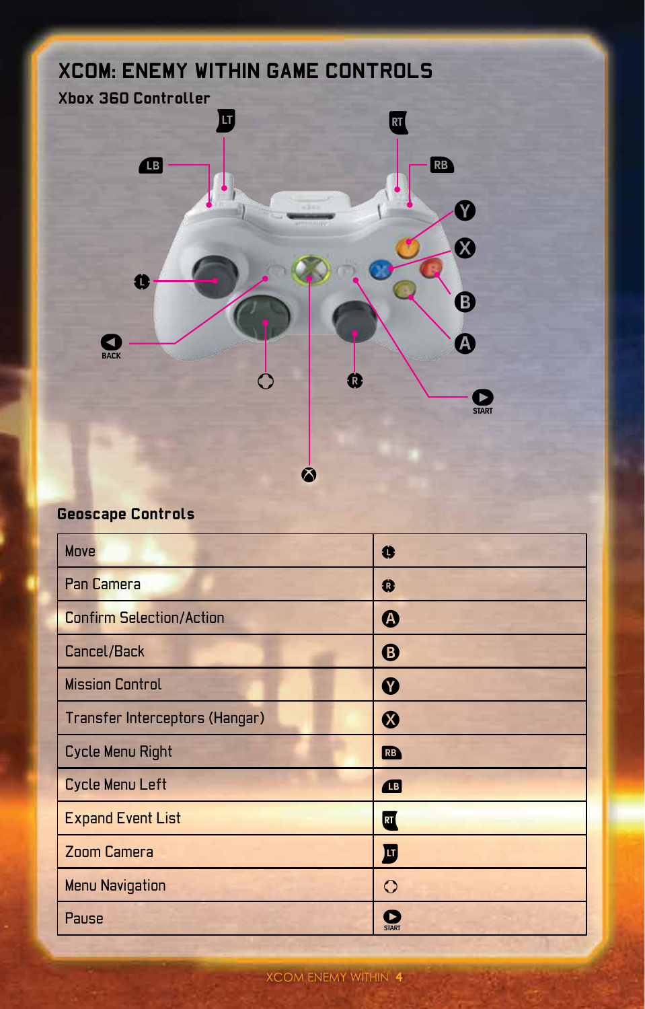

## **Geoscape Controls**

| Move                            | 0            |
|---------------------------------|--------------|
| Pan Camera                      | 0            |
| <b>Confirm Selection/Action</b> | ⋒            |
| Cancel/Back                     | ❸            |
| <b>Mission Control</b>          | Y            |
| Transfer Interceptors (Hangar)  | ଊ            |
| Cycle Menu Right                | RB)          |
| Cycle Menu Left                 | Œ            |
| <b>Expand Event List</b>        | RT (         |
| <b>Zoom Camera</b>              | 匝            |
| <b>Menu Navigation</b>          | ↷            |
| Pause                           | <b>START</b> |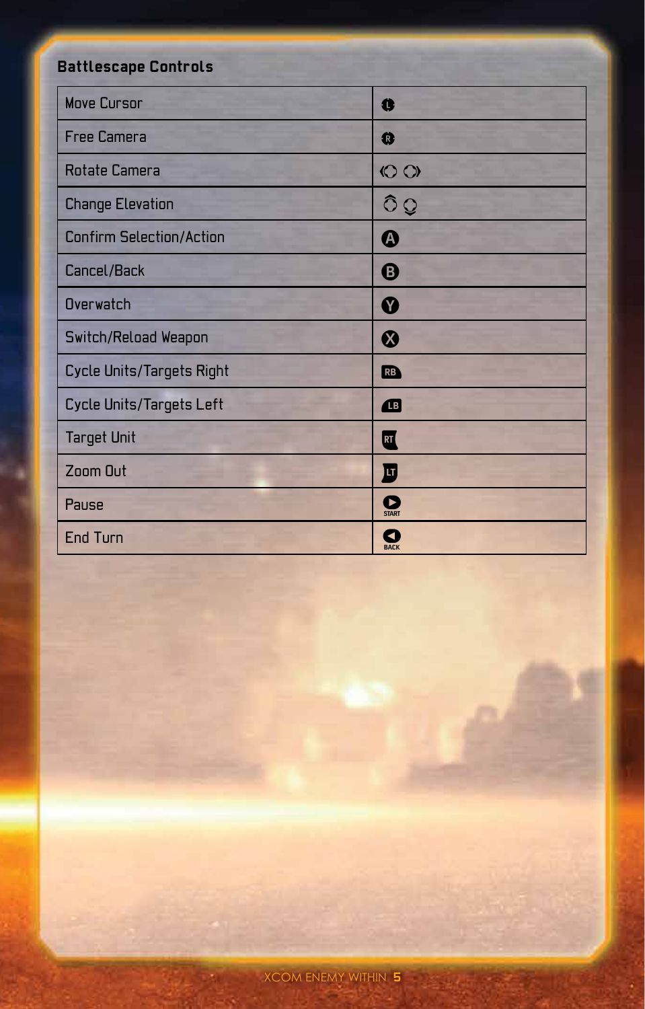# **Battlescape Controls**

| <b>Move Cursor</b>              | Ü                 |
|---------------------------------|-------------------|
| <b>Free Camera</b>              | Q                 |
| Rotate Camera                   | $\circ$           |
| <b>Change Elevation</b>         | $\hat{O}Q$        |
| <b>Confirm Selection/Action</b> | ❹                 |
| Cancel/Back                     | ❸                 |
| <b>Overwatch</b>                | Ø                 |
| Switch/Reload Weapon            | ଷ                 |
| Cycle Units/Targets Right       | RB                |
| Cycle Units/Targets Left        | <b>B</b>          |
| <b>Target Unit</b>              | RT                |
| Zoom Out                        | 圓                 |
| Pause                           | Œ<br><b>START</b> |
| <b>End Turn</b>                 | <b>BACK</b>       |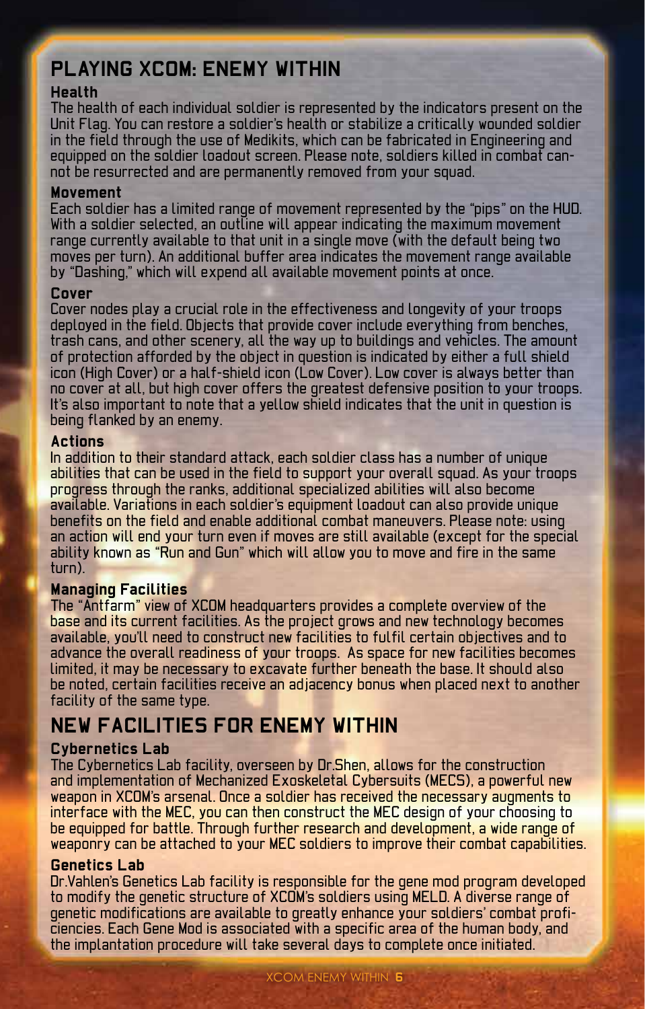## **Playing XCOM: Enemy Within**

### **Health**

The health of each individual soldier is represented by the indicators present on the Unit Flag. You can restore a soldier's health or stabilize a critically wounded soldier in the field through the use of Medikits, which can be fabricated in Engineering and equipped on the soldier loadout screen. Please note, soldiers killed in combat cannot be resurrected and are permanently removed from your squad.

#### **Movement**

Each soldier has a limited range of movement represented by the "pips" on the HUD. With a soldier selected, an outline will appear indicating the maximum movement range currently available to that unit in a single move (with the default being two moves per turn). An additional buffer area indicates the movement range available by "Dashing," which will expend all available movement points at once.

#### **Cover**

Cover nodes play a crucial role in the effectiveness and longevity of your troops deployed in the field. Objects that provide cover include everything from benches, trash cans, and other scenery, all the way up to buildings and vehicles. The amount of protection afforded by the object in question is indicated by either a full shield icon (High Cover) or a half-shield icon (Low Cover). Low cover is always better than no cover at all, but high cover offers the greatest defensive position to your troops. It's also important to note that a yellow shield indicates that the unit in question is being flanked by an enemy.

#### **Actions**

In addition to their standard attack, each soldier class has a number of unique abilities that can be used in the field to support your overall squad. As your troops progress through the ranks, additional specialized abilities will also become available. Variations in each soldier's equipment loadout can also provide unique benefits on the field and enable additional combat maneuvers. Please note: using an action will end your turn even if moves are still available (except for the special ability known as "Run and Gun" which will allow you to move and fire in the same turn).

#### **Managing Facilities**

The "Antfarm" view of XCOM headquarters provides a complete overview of the base and its current facilities. As the project grows and new technology becomes available, you'll need to construct new facilities to fulfil certain objectives and to advance the overall readiness of your troops. As space for new facilities becomes limited, it may be necessary to excavate further beneath the base. It should also be noted, certain facilities receive an adjacency bonus when placed next to another facility of the same type.

## **New Facilities for Enemy Within**

#### **Cybernetics Lab**

The Cybernetics Lab facility, overseen by Dr.Shen, allows for the construction and implementation of Mechanized Exoskeletal Cybersuits (MECS), a powerful new weapon in XCOM's arsenal. Once a soldier has received the necessary augments to interface with the MEC, you can then construct the MEC design of your choosing to be equipped for battle. Through further research and development, a wide range of weaponry can be attached to your MEC soldiers to improve their combat capabilities.

#### **Genetics Lab**

Dr.Vahlen's Genetics Lab facility is responsible for the gene mod program developed to modify the genetic structure of XCOM's soldiers using MELD. A diverse range of genetic modifications are available to greatly enhance your soldiers' combat proficiencies. Each Gene Mod is associated with a specific area of the human body, and the implantation procedure will take several days to complete once initiated.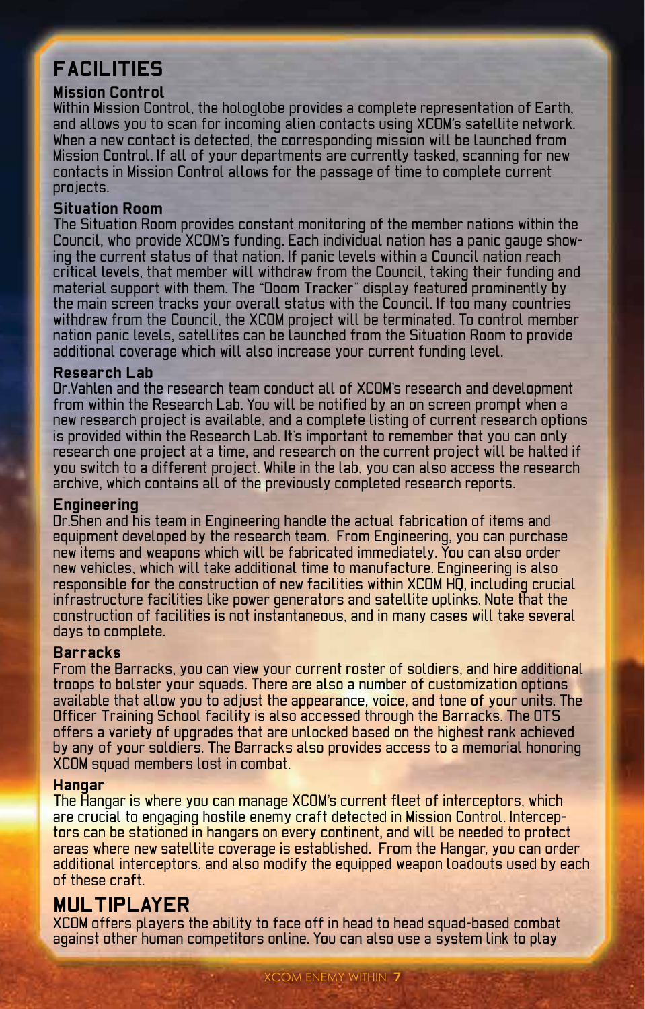# **Facilities**

### **Mission Control**

Within Mission Control, the hologlobe provides a complete representation of Earth, and allows you to scan for incoming alien contacts using XCOM's satellite network. When a new contact is detected, the corresponding mission will be launched from Mission Control. If all of your departments are currently tasked, scanning for new contacts in Mission Control allows for the passage of time to complete current projects.

### **Situation Room**

The Situation Room provides constant monitoring of the member nations within the Council, who provide XCOM's funding. Each individual nation has a panic gauge showing the current status of that nation. If panic levels within a Council nation reach critical levels, that member will withdraw from the Council, taking their funding and material support with them. The "Doom Tracker" display featured prominently by the main screen tracks your overall status with the Council. If too many countries withdraw from the Council, the XCOM project will be terminated. To control member nation panic levels, satellites can be launched from the Situation Room to provide additional coverage which will also increase your current funding level.

#### **Research Lab**

Dr.Vahlen and the research team conduct all of XCOM's research and development from within the Research Lab. You will be notified by an on screen prompt when a new research project is available, and a complete listing of current research options is provided within the Research Lab. It's important to remember that you can only research one project at a time, and research on the current project will be halted if you switch to a different project. While in the lab, you can also access the research archive, which contains all of the previously completed research reports.

#### **Engineering**

Dr.Shen and his team in Engineering handle the actual fabrication of items and equipment developed by the research team. From Engineering, you can purchase new items and weapons which will be fabricated immediately. You can also order new vehicles, which will take additional time to manufacture. Engineering is also responsible for the construction of new facilities within XCOM HQ, including crucial infrastructure facilities like power generators and satellite uplinks. Note that the construction of facilities is not instantaneous, and in many cases will take several days to complete.

### **Barracks**

From the Barracks, you can view your current roster of soldiers, and hire additional troops to bolster your squads. There are also a number of customization options available that allow you to adjust the appearance, voice, and tone of your units. The Officer Training School facility is also accessed through the Barracks. The OTS offers a variety of upgrades that are unlocked based on the highest rank achieved by any of your soldiers. The Barracks also provides access to a memorial honoring XCOM squad members lost in combat.

#### **Hangar**

The Hangar is where you can manage XCOM's current fleet of interceptors, which are crucial to engaging hostile enemy craft detected in Mission Control. Interceptors can be stationed in hangars on every continent, and will be needed to protect areas where new satellite coverage is established. From the Hangar, you can order additional interceptors, and also modify the equipped weapon loadouts used by each of these craft.

### **Multiplayer**

XCOM offers players the ability to face off in head to head squad-based combat against other human competitors online. You can also use a system link to play

XCOM ENEMY WITHIN **7**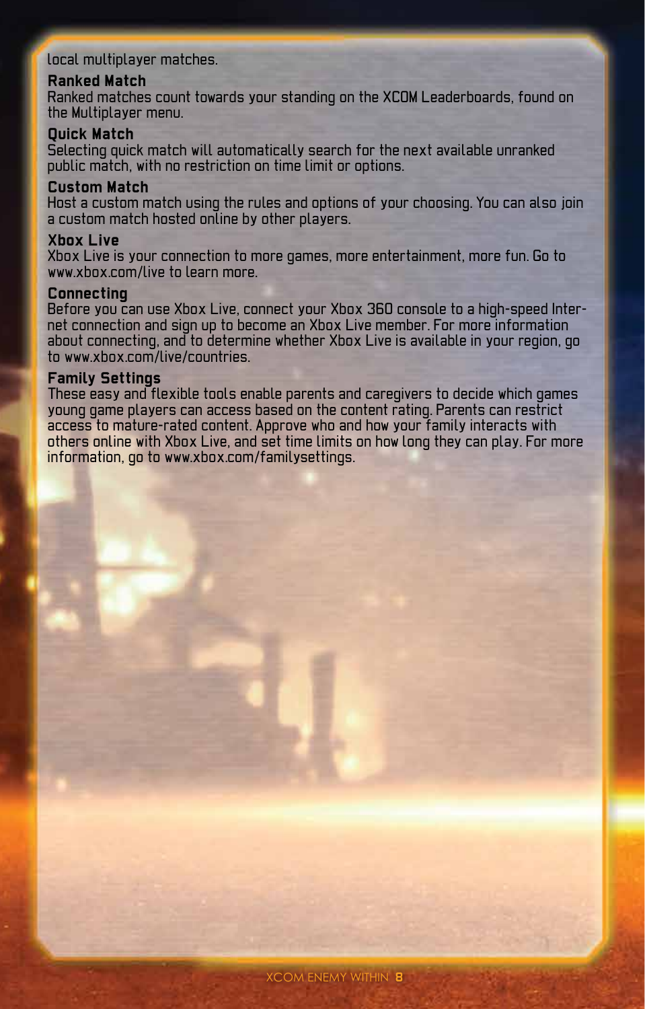### local multiplayer matches.

### **Ranked Match**

Ranked matches count towards your standing on the XCOM Leaderboards, found on the Multiplayer menu.

#### **Quick Match**

Selecting quick match will automatically search for the next available unranked public match, with no restriction on time limit or options.

#### **Custom Match**

Host a custom match using the rules and options of your choosing. You can also join a custom match hosted online by other players.

#### **Xbox Live**

Xbox Live is your connection to more games, more entertainment, more fun. Go to www.xbox.com/live to learn more.

#### **Connecting**

Before you can use Xbox Live, connect your Xbox 360 console to a high-speed Internet connection and sign up to become an Xbox Live member. For more information about connecting, and to determine whether Xbox Live is available in your region, go to www.xbox.com/live/countries.

#### **Family Settings**

These easy and flexible tools enable parents and caregivers to decide which games young game players can access based on the content rating. Parents can restrict access to mature-rated content. Approve who and how your family interacts with others online with Xbox Live, and set time limits on how long they can play. For more information, go to www.xbox.com/familysettings.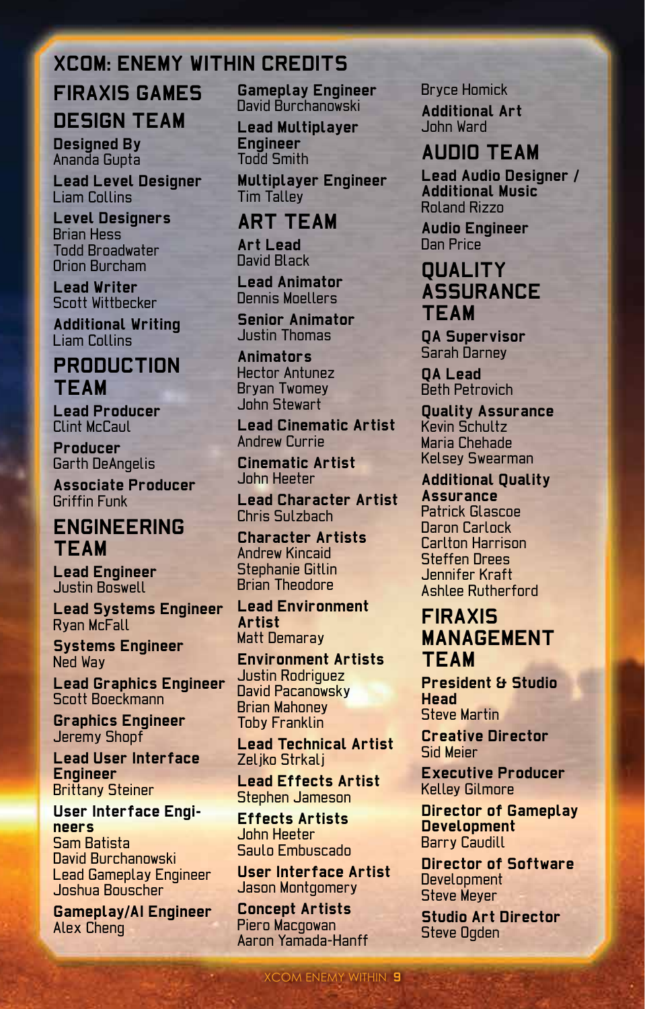## **XCOM: ENEMY WITHIN CREDITS**

# **Firaxis Games Design Team**

**Designed By** Ananda Gupta

**Lead Level Designer** Liam Collins

**Level Designers** Brian Hess Todd Broadwater Orion Burcham

**Lead Writer** Scott Wittbecker

**Additional Writing** Liam Collins

## **Production Team**

**Lead Producer** Clint McCaul

**Producer** Garth DeAngelis

**Associate Producer** Griffin Funk

## **Engineering Team**

**Lead Engineer** Justin Boswell

**Lead Systems Engineer** Ryan McFall

**Systems Engineer** Ned Way

**Lead Graphics Engineer** Scott Boeckmann

**Graphics Engineer** Jeremy Shopf

**Lead User Interface Engineer** Brittany Steiner

**User Interface Engineers** Sam Batista David Burchanowski Lead Gameplay Engineer Joshua Bouscher

**Gameplay/AI Engineer** Alex Cheng

**Gameplay Engineer** David Burchanowski

**Lead Multiplayer Engineer** Todd Smith

**Multiplayer Engineer** Tim Talley

## **Art Team**

**Art Lead** David Black

**Lead Animator** Dennis Moellers

**Senior Animator** Justin Thomas

**Animators** Hector Antunez Bryan Twomey John Stewart

**Lead Cinematic Artist** Andrew Currie

**Cinematic Artist** John Heeter

**Lead Character Artist** Chris Sulzbach

**Character Artists** Andrew Kincaid Stephanie Gitlin Brian Theodore

**Lead Environment Artist** Matt Demaray

**Environment Artists** Justin Rodriguez David Pacanowsky Brian Mahoney Toby Franklin

**Lead Technical Artist** Zeljko Strkalj

**Lead Effects Artist** Stephen Jameson

**Effects Artists** John Heeter Saulo Embuscado

**User Interface Artist** Jason Montgomery

XCOM ENEMY WITHIN **9**

**Concept Artists** Piero Macgowan Aaron Yamada-Hanff Bryce Homick

**Additional Art** John Ward

## **Audio Team**

**Lead Audio Designer / Additional Music** Roland Rizzo

**Audio Engineer** Dan Price

## **Quality Assurance Team**

**QA Supervisor** Sarah Darney

**QA Lead** Beth Petrovich

**Quality Assurance** Kevin Schultz Maria Chehade Kelsey Swearman

**Additional Quality Assurance** Patrick Glascoe Daron Carlock Carlton Harrison Steffen Drees Jennifer Kraft Ashlee Rutherford

## **Firaxis Management Team**

**President & Studio Head** Steve Martin

**Creative Director** Sid Meier

**Executive Producer** Kelley Gilmore

**Director of Gameplay Development** Barry Caudill

**Director of Software Development** Steve Meyer

**Studio Art Director Steve Ogden**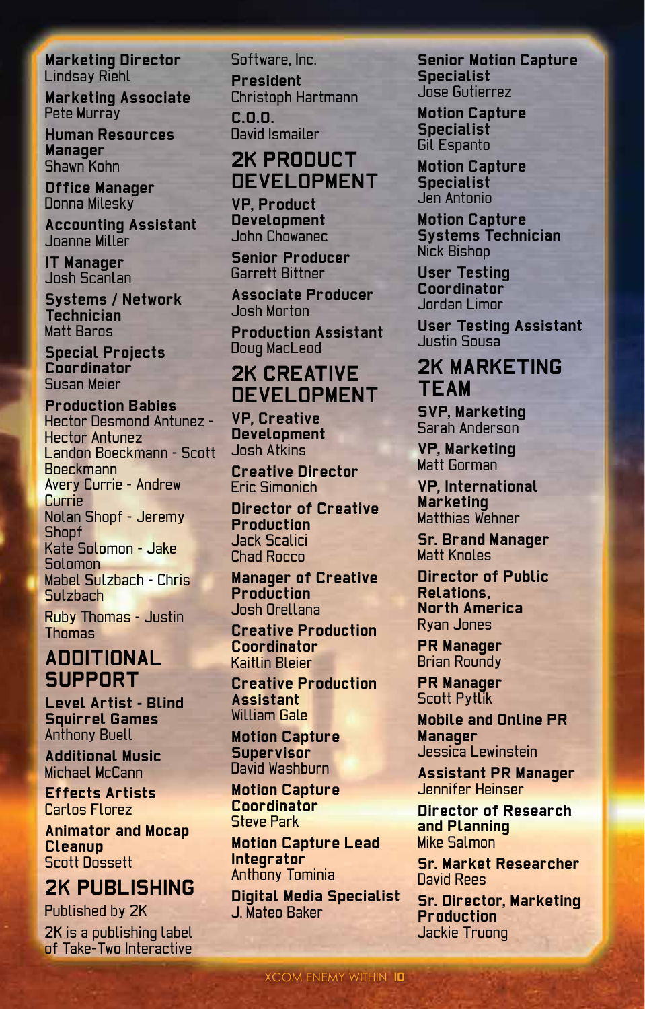**Marketing Director** Lindsay Riehl

**Marketing Associate** Pete Murray

**Human Resources Manager** Shawn Kohn

**Office Manager** Donna Milesky

**Accounting Assistant** Joanne Miller

**IT Manager** Josh Scanlan

**Systems / Network Technician** Matt Baros

**Special Projects Coordinator** Susan Meier

**Production Babies** Hector Desmond Antunez - Hector Antunez Landon Boeckmann - Scott Boeckmann Avery Currie - Andrew Currie Nolan Shopf - Jeremy **Shopf** Kate Solomon - Jake Solomon Mabel Sulzbach - Chris Sulzbach Ruby Thomas - Justin **Thomas** 

## **Additional Support**

**Level Artist - Blind Squirrel Games** Anthony Buell

**Additional Music** Michael McCann

**Effects Artists** Carlos Florez

**Animator and Mocap Cleanup** Scott Dossett

## **2K PUBLISHING**

Published by 2K 2K is a publishing label of Take-Two Interactive

Software, Inc. **President** Christoph Hartmann **C.O.O.** David Ismailer

## **2K PRODUCT DEVELOPMENT**

**VP, Product Development** John Chowanec

**Senior Producer** Garrett Bittner

**Associate Producer** Josh Morton

**Production Assistant** Doug MacLeod

## **2K CREATIVE DEVELOPMENT**

**VP, Creative Development** Josh Atkins

**Creative Director** Eric Simonich

**Director of Creative Production** Jack Scalici Chad Rocco

**Manager of Creative Production** Josh Orellana

**Creative Production Coordinator** Kaitlin Bleier

**Creative Production Assistant** William Gale

**Motion Capture Supervisor** David Washburn

**Motion Capture Coordinator** Steve Park

**Motion Capture Lead Integrator** Anthony Tominia

**Digital Media Specialist** J. Mateo Baker

**Senior Motion Capture Specialist** Jose Gutierrez

**Motion Capture Specialist** Gil Espanto

**Motion Capture Specialist** Jen Antonio

**Motion Capture Systems Technician** Nick Bishop

**User Testing Coordinator** Jordan Limor

**User Testing Assistant** Justin Sousa

## **2K MARKETING TEAM**

**SVP, Marketing** Sarah Anderson

**VP, Marketing** Matt Gorman

**VP, International Marketing** Matthias Wehner

**Sr. Brand Manager** Matt Knoles

**Director of Public Relations, North America** Ryan Jones

**PR Manager** Brian Roundy

**PR Manager** Scott Pytlik

**Mobile and Online PR Manager** Jessica Lewinstein

**Assistant PR Manager**  Jennifer Heinser

**Director of Research and Planning** Mike Salmon

**Sr. Market Researcher** David Rees

**Sr. Director, Marketing Production** Jackie Truong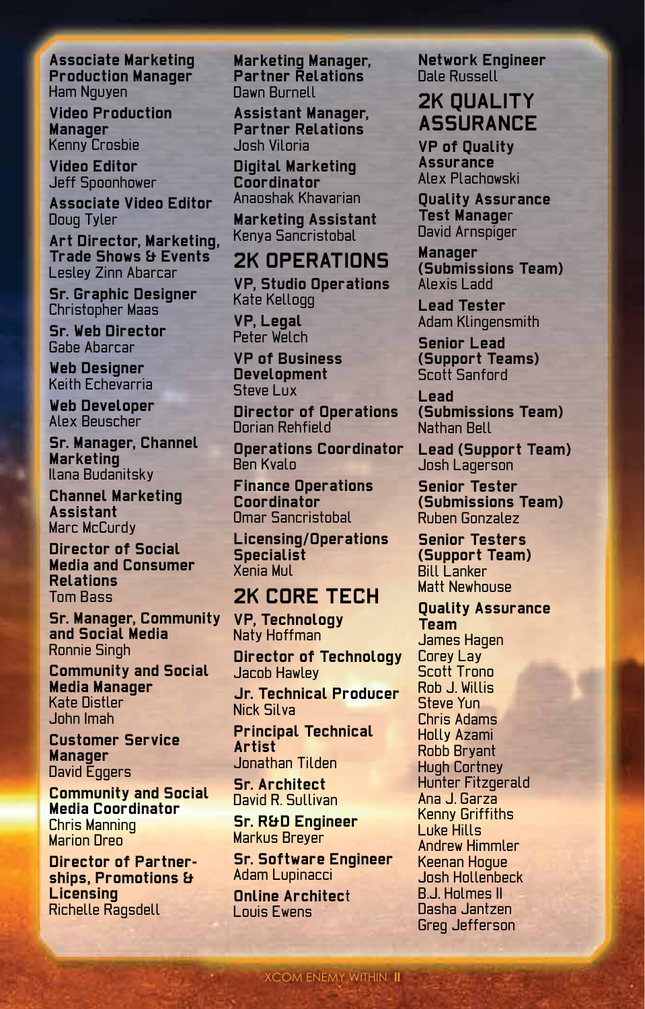**Associate Marketing Production Manager** Ham Nguyen

**Video Production Manager** Kenny Crosbie

**Video Editor** Jeff Spoonhower

**Associate Video Editor** Doug Tyler

**Art Director, Marketing, Trade Shows & Events** Lesley Zinn Abarcar

**Sr. Graphic Designer** Christopher Maas

**Sr. Web Director** Gabe Abarcar

**Web Designer** Keith Echevarria

**Web Developer** Alex Beuscher

**Sr. Manager, Channel Marketing** Ilana Budanitsky

**Channel Marketing Assistant** Marc McCurdy

**Director of Social Media and Consumer Relations**  Tom Bass

**Sr. Manager, Community and Social Media** Ronnie Singh

**Community and Social Media Manager** Kate Distler John Imah

**Customer Service Manager** David Eggers

**Community and Social Media Coordinator** Chris Manning **Marion Dreo** 

**Director of Partnerships, Promotions & Licensing** Richelle Ragsdell

**Marketing Manager, Partner Relations** Dawn Burnell

**Assistant Manager, Partner Relations** Josh Viloria

**Digital Marketing Coordinator** Anaoshak Khavarian

**Marketing Assistant** Kenya Sancristobal

## **2K OPERATIONS**

**VP, Studio Operations** Kate Kellogg

**VP, Legal** Peter Welch

**VP of Business Development** Steve Lux

**Director of Operations** Dorian Rehfield

**Operations Coordinator** Ben Kvalo

**Finance Operations Coordinator** Omar Sancristobal

**Licensing/Operations Specialist** Xenia Mul

## **2K CORE TECH**

**VP, Technology** Naty Hoffman

**Director of Technology** Jacob Hawley

**Jr. Technical Producer** Nick Silva

**Principal Technical Artist** Jonathan Tilden

**Sr. Architect** David R. Sullivan

**Sr. R&D Engineer** Markus Breyer

**Sr. Software Engineer** Adam Lupinacci

XCOM ENEMY WITHIN **11**

**Online Architec**t Louis Ewens

**Network Engineer** Dale Russell

## **2K QUALITY ASSURANCE**

**VP of Quality Assurance** Alex Plachowski

**Quality Assurance Test Manage**r David Arnspiger

**Manager (Submissions Team)** Alexis Ladd

**Lead Tester** Adam Klingensmith

**Senior Lead (Support Teams)** Scott Sanford

**Lead (Submissions Team)** Nathan Bell

**Lead (Support Team)** Josh Lagerson

**Senior Tester (Submissions Team)** Ruben Gonzalez

**Senior Testers (Support Team) Bill Lanker** Matt Newhouse

**Quality Assurance Team** James Hagen Corey Lay Scott Trono Rob J. Willis Steve Yun Chris Adams Holly Azami Robb Bryant Hugh Cortney Hunter Fitzgerald Ana J. Garza Kenny Griffiths Luke Hills Andrew Himmler Keenan Hogue Josh Hollenbeck B.J. Holmes II Dasha Jantzen Greg Jefferson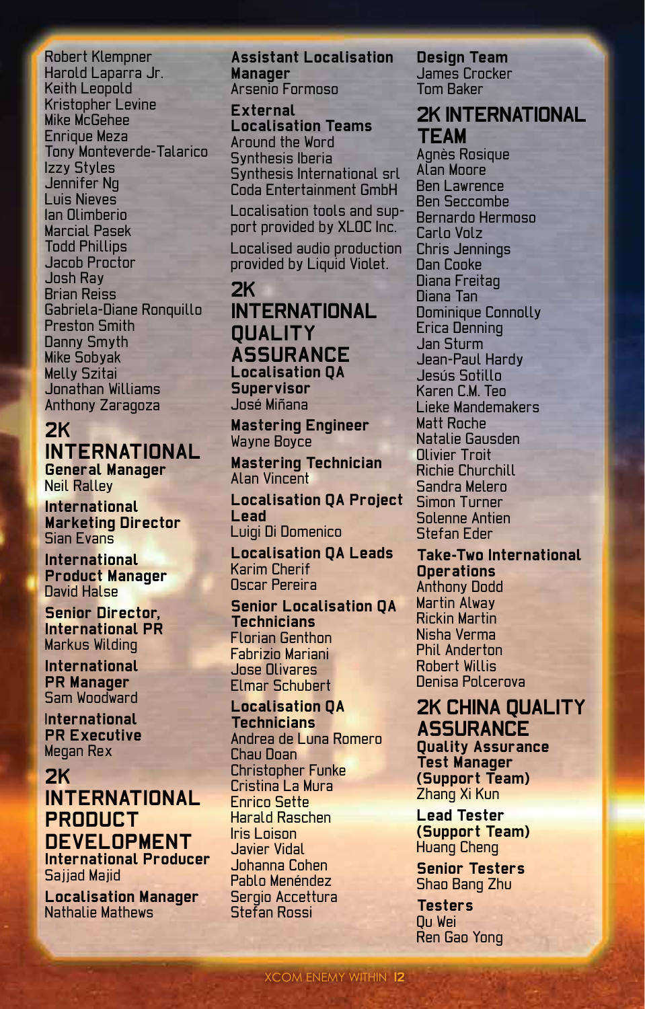Robert Klempner Harold Laparra Jr. Keith Leopold Kristopher Levine Mike McGehee Enrique Meza Tony Monteverde-Talarico Izzy Styles Jennifer Ng Luis Nieves Ian Olimberio Marcial Pasek Todd Phillips Jacob Proctor Josh Ray Brian Reiss Gabriela-Diane Ronquillo Preston Smith Danny Smyth Mike Sobyak Melly Szitai Jonathan Williams Anthony Zaragoza

### **2K INTERNATIONAL General Manager**

Neil Ralley

**International Marketing Director** Sian Evans

**International Product Manager** David Halse

**Senior Director, International PR** Markus Wilding

**International PR Manager** Sam Woodward

I**nternational PR Executive** Megan Rex

**2K INTERNATIONAL PRODUCT DEVELOPMENT International Producer**

Sajjad Majid **Localisation Manager**

Nathalie Mathews

**Assistant Localisation Manager** Arsenio Formoso

**External Localisation Teams** Around the Word Synthesis Iberia Synthesis International srl Coda Entertainment GmbH

Localisation tools and support provided by XLOC Inc.

Localised audio production provided by Liquid Violet.

### **2K INTERNATIONAL QUALITY ASSURANCE Localisation QA Supervisor** José Miñana

**Mastering Engineer** Wayne Boyce

**Mastering Technician** Alan Vincent

**Localisation QA Project Lead** Luigi Di Domenico

**Localisation QA Leads** Karim Cherif Oscar Pereira

**Senior Localisation QA Technicians** Florian Genthon Fabrizio Mariani Jose Olivares Elmar Schubert

**Localisation QA Technicians** Andrea de Luna Romero Chau Doan Christopher Funke Cristina La Mura Enrico Sette Harald Raschen Iris Loison Javier Vidal Johanna Cohen Pablo Menéndez Sergio Accettura Stefan Rossi

**Design Team** James Crocker Tom Baker

**2K International Team**

Agnès Rosique Alan Moore Ben Lawrence Ben Seccombe Bernardo Hermoso Carlo Volz Chris Jennings Dan Cooke Diana Freitag Diana Tan Dominique Connolly Erica Denning Jan Sturm Jean-Paul Hardy Jesús Sotillo Karen C.M. Ten Lieke Mandemakers Matt Roche Natalie Gausden Olivier Troit Richie Churchill Sandra Melero Simon Turner Solenne Antien Stefan Eder

**Take-Two International Operations** Anthony Dodd Martin Alway Rickin Martin Nisha Verma Phil Anderton Robert Willis Denisa Polcerova

## **2K China Quality Assurance**

**Quality Assurance Test Manager (Support Team)** Zhang Xi Kun

**Lead Tester (Support Team)** Huang Cheng

**Senior Testers** Shao Bang Zhu

**Testers** Qu Wei Ren Gao Yong